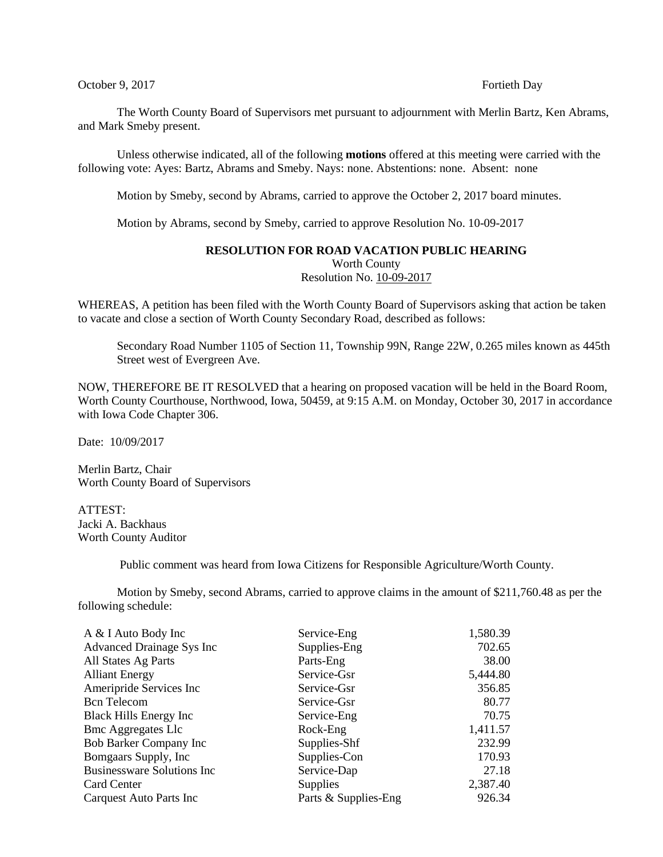## October 9, 2017 Fortieth Day

The Worth County Board of Supervisors met pursuant to adjournment with Merlin Bartz, Ken Abrams, and Mark Smeby present.

Unless otherwise indicated, all of the following **motions** offered at this meeting were carried with the following vote: Ayes: Bartz, Abrams and Smeby. Nays: none. Abstentions: none. Absent: none

Motion by Smeby, second by Abrams, carried to approve the October 2, 2017 board minutes.

Motion by Abrams, second by Smeby, carried to approve Resolution No. 10-09-2017

## **RESOLUTION FOR ROAD VACATION PUBLIC HEARING** Worth County Resolution No. 10-09-2017

WHEREAS, A petition has been filed with the Worth County Board of Supervisors asking that action be taken to vacate and close a section of Worth County Secondary Road, described as follows:

Secondary Road Number 1105 of Section 11, Township 99N, Range 22W, 0.265 miles known as 445th Street west of Evergreen Ave.

NOW, THEREFORE BE IT RESOLVED that a hearing on proposed vacation will be held in the Board Room, Worth County Courthouse, Northwood, Iowa, 50459, at 9:15 A.M. on Monday, October 30, 2017 in accordance with Iowa Code Chapter 306.

Date: 10/09/2017

Merlin Bartz, Chair Worth County Board of Supervisors

ATTEST: Jacki A. Backhaus Worth County Auditor

Public comment was heard from Iowa Citizens for Responsible Agriculture/Worth County.

Motion by Smeby, second Abrams, carried to approve claims in the amount of \$211,760.48 as per the following schedule:

| A & I Auto Body Inc               | Service-Eng          | 1,580.39 |
|-----------------------------------|----------------------|----------|
| Advanced Drainage Sys Inc         | Supplies-Eng         | 702.65   |
| All States Ag Parts               | Parts-Eng            | 38.00    |
| <b>Alliant Energy</b>             | Service-Gsr          | 5,444.80 |
| Ameripride Services Inc           | Service-Gsr          | 356.85   |
| <b>Bcn</b> Telecom                | Service-Gsr          | 80.77    |
| Black Hills Energy Inc            | Service-Eng          | 70.75    |
| <b>Bmc Aggregates Llc</b>         | Rock-Eng             | 1,411.57 |
| Bob Barker Company Inc            | Supplies-Shf         | 232.99   |
| Bomgaars Supply, Inc.             | Supplies-Con         | 170.93   |
| <b>Businessware Solutions Inc</b> | Service-Dap          | 27.18    |
| Card Center                       | <b>Supplies</b>      | 2,387.40 |
| Carquest Auto Parts Inc           | Parts & Supplies-Eng | 926.34   |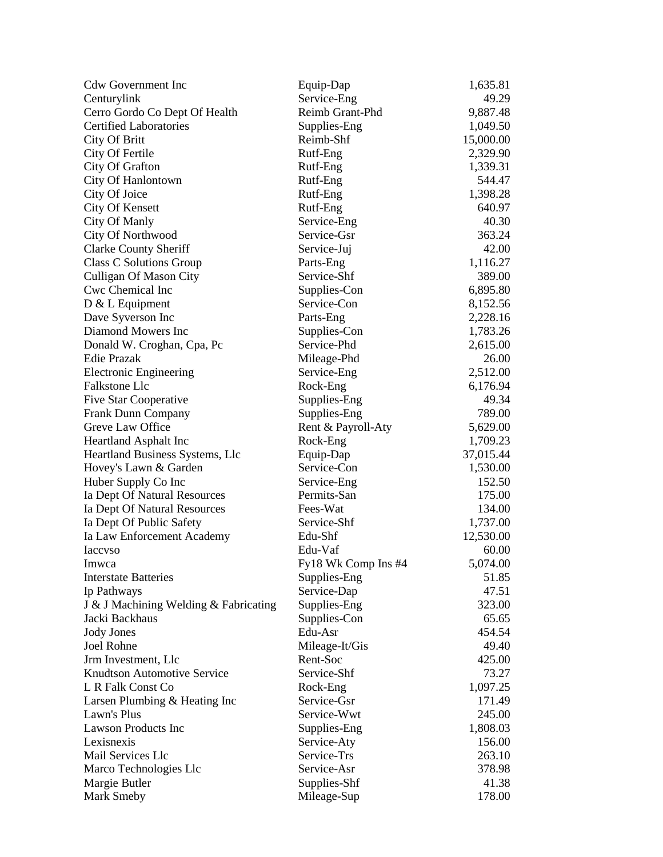| <b>Cdw Government Inc</b>             | Equip-Dap           | 1,635.81  |
|---------------------------------------|---------------------|-----------|
| Centurylink                           | Service-Eng         | 49.29     |
| Cerro Gordo Co Dept Of Health         | Reimb Grant-Phd     | 9,887.48  |
| <b>Certified Laboratories</b>         | Supplies-Eng        | 1,049.50  |
| <b>City Of Britt</b>                  | Reimb-Shf           | 15,000.00 |
| City Of Fertile                       | Rutf-Eng            | 2,329.90  |
| City Of Grafton                       | Rutf-Eng            | 1,339.31  |
| City Of Hanlontown                    | Rutf-Eng            | 544.47    |
| City Of Joice                         | Rutf-Eng            | 1,398.28  |
| <b>City Of Kensett</b>                | Rutf-Eng            | 640.97    |
| <b>City Of Manly</b>                  | Service-Eng         | 40.30     |
| City Of Northwood                     | Service-Gsr         | 363.24    |
| <b>Clarke County Sheriff</b>          | Service-Juj         | 42.00     |
| Class C Solutions Group               | Parts-Eng           | 1,116.27  |
| Culligan Of Mason City                | Service-Shf         | 389.00    |
| Cwc Chemical Inc                      | Supplies-Con        | 6,895.80  |
| $D & L$ Equipment                     | Service-Con         | 8,152.56  |
| Dave Syverson Inc                     | Parts-Eng           | 2,228.16  |
| Diamond Mowers Inc                    | Supplies-Con        | 1,783.26  |
| Donald W. Croghan, Cpa, Pc            | Service-Phd         | 2,615.00  |
| Edie Prazak                           | Mileage-Phd         | 26.00     |
| <b>Electronic Engineering</b>         | Service-Eng         | 2,512.00  |
| <b>Falkstone Llc</b>                  | Rock-Eng            | 6,176.94  |
| Five Star Cooperative                 | Supplies-Eng        | 49.34     |
| Frank Dunn Company                    | Supplies-Eng        | 789.00    |
| Greve Law Office                      | Rent & Payroll-Aty  | 5,629.00  |
| <b>Heartland Asphalt Inc</b>          | Rock-Eng            | 1,709.23  |
| Heartland Business Systems, Llc       | Equip-Dap           | 37,015.44 |
| Hovey's Lawn & Garden                 | Service-Con         | 1,530.00  |
| Huber Supply Co Inc                   | Service-Eng         | 152.50    |
| Ia Dept Of Natural Resources          | Permits-San         | 175.00    |
| Ia Dept Of Natural Resources          | Fees-Wat            | 134.00    |
| Ia Dept Of Public Safety              | Service-Shf         | 1,737.00  |
| Ia Law Enforcement Academy            | Edu-Shf             | 12,530.00 |
| <b>Iaccyso</b>                        | Edu-Vaf             | 60.00     |
| Imwca                                 | Fy18 Wk Comp Ins #4 | 5,074.00  |
| <b>Interstate Batteries</b>           | Supplies-Eng        | 51.85     |
| Ip Pathways                           | Service-Dap         | 47.51     |
| J & J Machining Welding & Fabricating | Supplies-Eng        | 323.00    |
| Jacki Backhaus                        | Supplies-Con        | 65.65     |
| <b>Jody Jones</b>                     | Edu-Asr             | 454.54    |
| Joel Rohne                            | Mileage-It/Gis      | 49.40     |
| Jrm Investment, Llc                   | Rent-Soc            | 425.00    |
| <b>Knudtson Automotive Service</b>    | Service-Shf         | 73.27     |
| L R Falk Const Co                     | Rock-Eng            | 1,097.25  |
| Larsen Plumbing & Heating Inc         | Service-Gsr         | 171.49    |
| Lawn's Plus                           | Service-Wwt         | 245.00    |
| <b>Lawson Products Inc</b>            | Supplies-Eng        | 1,808.03  |
| Lexisnexis                            | Service-Aty         | 156.00    |
| Mail Services Llc                     | Service-Trs         | 263.10    |
| Marco Technologies Llc                | Service-Asr         | 378.98    |
| Margie Butler                         | Supplies-Shf        | 41.38     |
| Mark Smeby                            | Mileage-Sup         | 178.00    |
|                                       |                     |           |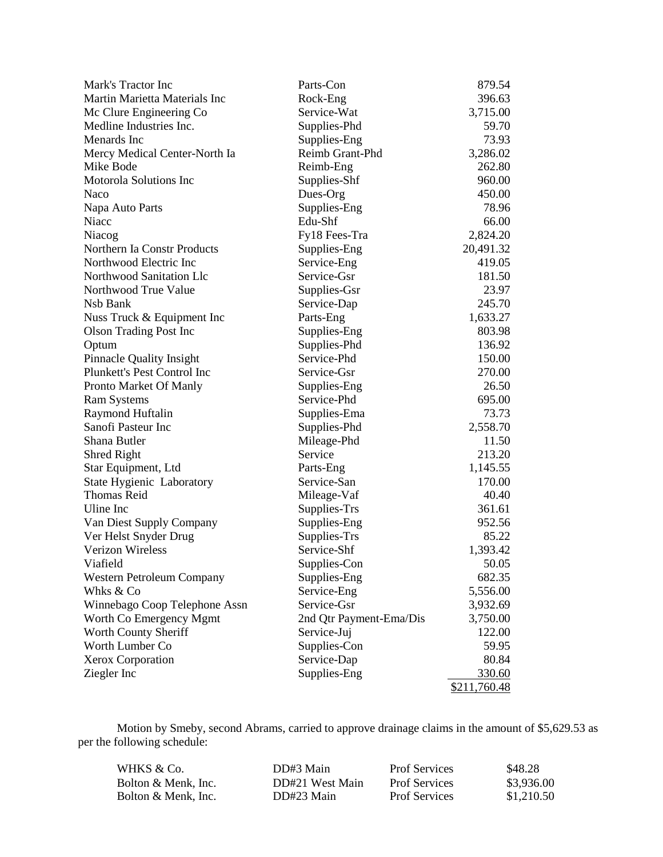| Mark's Tractor Inc               | Parts-Con               | 879.54       |
|----------------------------------|-------------------------|--------------|
| Martin Marietta Materials Inc    | Rock-Eng                | 396.63       |
| Mc Clure Engineering Co          | Service-Wat             | 3,715.00     |
| Medline Industries Inc.          | Supplies-Phd            | 59.70        |
| Menards Inc                      | Supplies-Eng            | 73.93        |
| Mercy Medical Center-North Ia    | Reimb Grant-Phd         | 3,286.02     |
| Mike Bode                        | Reimb-Eng               | 262.80       |
| Motorola Solutions Inc           | Supplies-Shf            | 960.00       |
| Naco                             | Dues-Org                | 450.00       |
| Napa Auto Parts                  | Supplies-Eng            | 78.96        |
| Niacc                            | Edu-Shf                 | 66.00        |
| Niacog                           | Fy18 Fees-Tra           | 2,824.20     |
| Northern Ia Constr Products      | Supplies-Eng            | 20,491.32    |
| Northwood Electric Inc           | Service-Eng             | 419.05       |
| Northwood Sanitation Llc         | Service-Gsr             | 181.50       |
| Northwood True Value             | Supplies-Gsr            | 23.97        |
| Nsb Bank                         | Service-Dap             | 245.70       |
| Nuss Truck & Equipment Inc       | Parts-Eng               | 1,633.27     |
| <b>Olson Trading Post Inc</b>    | Supplies-Eng            | 803.98       |
| Optum                            | Supplies-Phd            | 136.92       |
| <b>Pinnacle Quality Insight</b>  | Service-Phd             | 150.00       |
| Plunkett's Pest Control Inc      | Service-Gsr             | 270.00       |
| Pronto Market Of Manly           | Supplies-Eng            | 26.50        |
| <b>Ram Systems</b>               | Service-Phd             | 695.00       |
| Raymond Huftalin                 | Supplies-Ema            | 73.73        |
| Sanofi Pasteur Inc               | Supplies-Phd            | 2,558.70     |
| Shana Butler                     | Mileage-Phd             | 11.50        |
| Shred Right                      | Service                 | 213.20       |
| Star Equipment, Ltd              | Parts-Eng               | 1,145.55     |
| State Hygienic Laboratory        | Service-San             | 170.00       |
| <b>Thomas Reid</b>               | Mileage-Vaf             | 40.40        |
| Uline Inc                        | Supplies-Trs            | 361.61       |
| Van Diest Supply Company         | Supplies-Eng            | 952.56       |
| Ver Helst Snyder Drug            | Supplies-Trs            | 85.22        |
| <b>Verizon Wireless</b>          | Service-Shf             | 1,393.42     |
| Viafield                         | Supplies-Con            | 50.05        |
| <b>Western Petroleum Company</b> | Supplies-Eng            | 682.35       |
| Whks & Co                        | Service-Eng             | 5,556.00     |
| Winnebago Coop Telephone Assn    | Service-Gsr             | 3,932.69     |
| Worth Co Emergency Mgmt          | 2nd Qtr Payment-Ema/Dis | 3,750.00     |
| Worth County Sheriff             | Service-Juj             | 122.00       |
| Worth Lumber Co                  | Supplies-Con            | 59.95        |
| Xerox Corporation                | Service-Dap             | 80.84        |
| Ziegler Inc                      | Supplies-Eng            | 330.60       |
|                                  |                         | \$211,760.48 |

Motion by Smeby, second Abrams, carried to approve drainage claims in the amount of \$5,629.53 as per the following schedule:

| WHKS & Co.          | DD#3 Main       | <b>Prof Services</b> | \$48.28    |
|---------------------|-----------------|----------------------|------------|
| Bolton & Menk. Inc. | DD#21 West Main | <b>Prof Services</b> | \$3.936.00 |
| Bolton & Menk. Inc. | DD#23 Main      | <b>Prof Services</b> | \$1,210.50 |